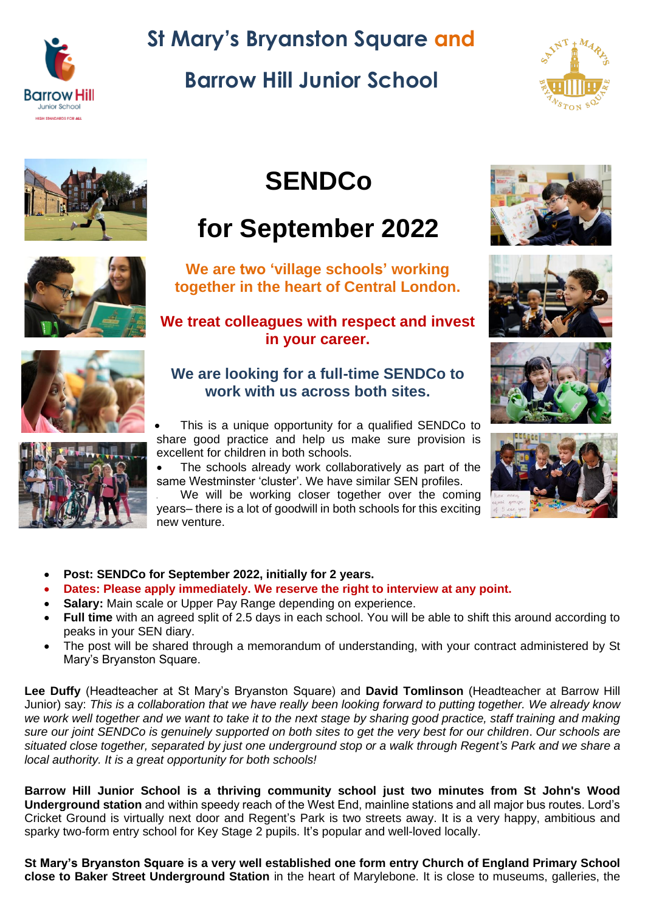

# **St Mary's Bryanston Square and Barrow Hill Junior School**



# **SENDCo**

# **for September 2022**

**We are two 'village schools' working together in the heart of Central London.**

**We treat colleagues with respect and invest in your career.**

## **We are looking for a full-time SENDCo to work with us across both sites.**



The schools already work collaboratively as part of the same Westminster 'cluster'. We have similar SEN profiles.

We will be working closer together over the coming years– there is a lot of goodwill in both schools for this exciting new venture.

- **Post: SENDCo for September 2022, initially for 2 years.**
- **Dates: Please apply immediately. We reserve the right to interview at any point.**
- **Salary:** Main scale or Upper Pay Range depending on experience.
- **Full time** with an agreed split of 2.5 days in each school. You will be able to shift this around according to peaks in your SEN diary.
- The post will be shared through a memorandum of understanding, with your contract administered by St Mary's Bryanston Square.

**Lee Duffy** (Headteacher at St Mary's Bryanston Square) and **David Tomlinson** (Headteacher at Barrow Hill Junior) say: *This is a collaboration that we have really been looking forward to putting together. We already know we work well together and we want to take it to the next stage by sharing good practice, staff training and making sure our joint SENDCo is genuinely supported on both sites to get the very best for our children*. *Our schools are situated close together, separated by just one underground stop or a walk through Regent's Park and we share a local authority. It is a great opportunity for both schools!*

**Barrow Hill Junior School is a thriving community school just two minutes from St John's Wood Underground station** and within speedy reach of the West End, mainline stations and all major bus routes. Lord's Cricket Ground is virtually next door and Regent's Park is two streets away. It is a very happy, ambitious and sparky two-form entry school for Key Stage 2 pupils. It's popular and well-loved locally.

**St Mary's Bryanston Square is a very well established one form entry Church of England Primary School close to Baker Street Underground Station** in the heart of Marylebone. It is close to museums, galleries, the